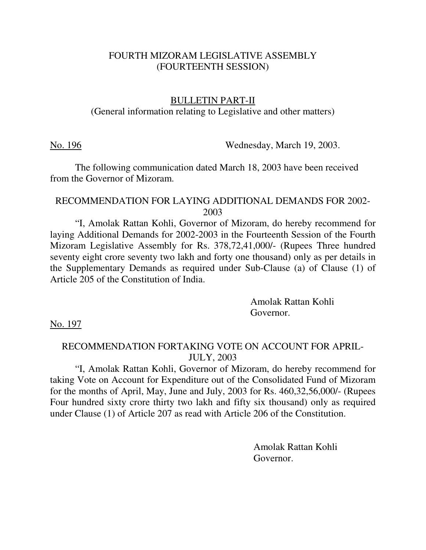#### FOURTH MIZORAM LEGISLATIVE ASSEMBLY (FOURTEENTH SESSION)

#### BULLETIN PART-II

#### (General information relating to Legislative and other matters)

No. 196 Wednesday, March 19, 2003.

 The following communication dated March 18, 2003 have been received from the Governor of Mizoram.

#### RECOMMENDATION FOR LAYING ADDITIONAL DEMANDS FOR 2002- 2003

 "I, Amolak Rattan Kohli, Governor of Mizoram, do hereby recommend for laying Additional Demands for 2002-2003 in the Fourteenth Session of the Fourth Mizoram Legislative Assembly for Rs. 378,72,41,000/- (Rupees Three hundred seventy eight crore seventy two lakh and forty one thousand) only as per details in the Supplementary Demands as required under Sub-Clause (a) of Clause (1) of Article 205 of the Constitution of India.

> Amolak Rattan Kohli Governor.

No. 197

# RECOMMENDATION FORTAKING VOTE ON ACCOUNT FOR APRIL-JULY, 2003

 "I, Amolak Rattan Kohli, Governor of Mizoram, do hereby recommend for taking Vote on Account for Expenditure out of the Consolidated Fund of Mizoram for the months of April, May, June and July, 2003 for Rs. 460,32,56,000/- (Rupees Four hundred sixty crore thirty two lakh and fifty six thousand) only as required under Clause (1) of Article 207 as read with Article 206 of the Constitution.

> Amolak Rattan Kohli Governor.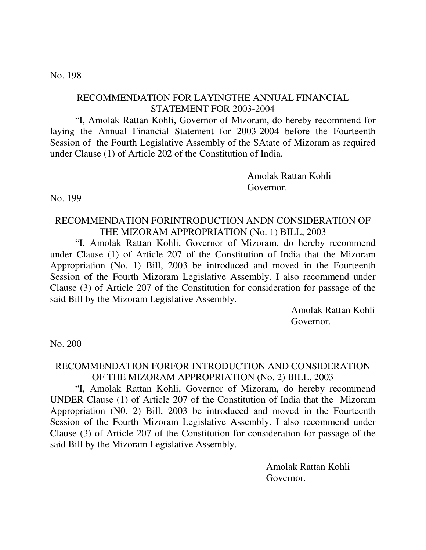#### No. 198

# RECOMMENDATION FOR LAYINGTHE ANNUAL FINANCIAL STATEMENT FOR 2003-2004

 "I, Amolak Rattan Kohli, Governor of Mizoram, do hereby recommend for laying the Annual Financial Statement for 2003-2004 before the Fourteenth Session of the Fourth Legislative Assembly of the SAtate of Mizoram as required under Clause (1) of Article 202 of the Constitution of India.

> Amolak Rattan Kohli Governor.

No. 199

#### RECOMMENDATION FORINTRODUCTION ANDN CONSIDERATION OF THE MIZORAM APPROPRIATION (No. 1) BILL, 2003

 "I, Amolak Rattan Kohli, Governor of Mizoram, do hereby recommend under Clause (1) of Article 207 of the Constitution of India that the Mizoram Appropriation (No. 1) Bill, 2003 be introduced and moved in the Fourteenth Session of the Fourth Mizoram Legislative Assembly. I also recommend under Clause (3) of Article 207 of the Constitution for consideration for passage of the said Bill by the Mizoram Legislative Assembly.

> Amolak Rattan Kohli Governor.

No. 200

# RECOMMENDATION FORFOR INTRODUCTION AND CONSIDERATION OF THE MIZORAM APPROPRIATION (No. 2) BILL, 2003

 "I, Amolak Rattan Kohli, Governor of Mizoram, do hereby recommend UNDER Clause (1) of Article 207 of the Constitution of India that the Mizoram Appropriation (N0. 2) Bill, 2003 be introduced and moved in the Fourteenth Session of the Fourth Mizoram Legislative Assembly. I also recommend under Clause (3) of Article 207 of the Constitution for consideration for passage of the said Bill by the Mizoram Legislative Assembly.

> Amolak Rattan Kohli Governor.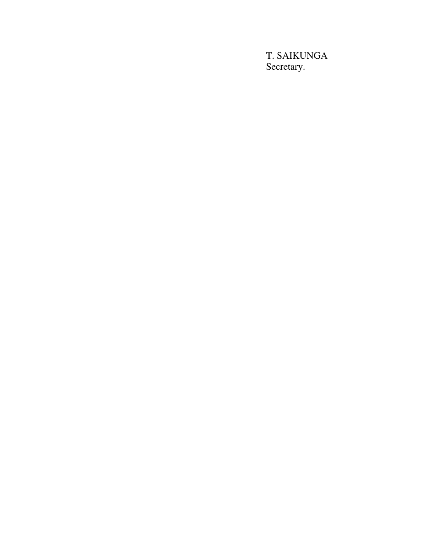T. SAIKUNGA Secretary.